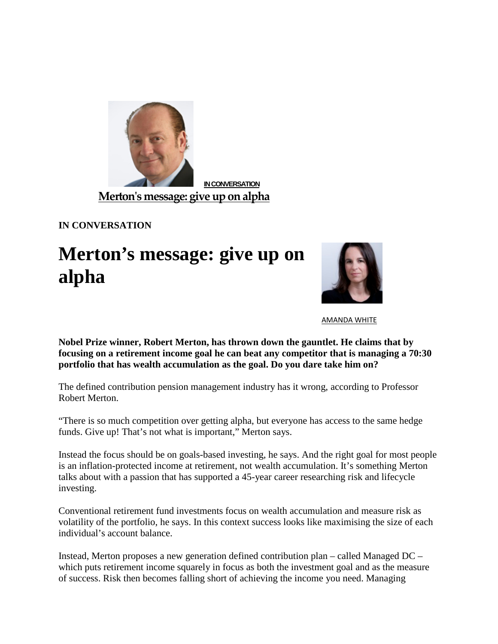

**[IN CONVERSATION](http://click.e.conexusf.com/?qs=c7d0437f347ca7005a791a81b98b0794aacd8fd1cc314aa82db416c5665230e6)**

**[Merton's message: give up on alpha](http://click.e.conexusf.com/?qs=c7d0437f347ca7005a791a81b98b0794aacd8fd1cc314aa82db416c5665230e6)**

**IN CONVERSATION**

## **Merton's message: give up on alpha**



[AMANDA WHITE](http://www.top1000funds.com/author/amandaw/) 

**Nobel Prize winner, Robert Merton, has thrown down the gauntlet. He claims that by focusing on a retirement income goal he can beat any competitor that is managing a 70:30 portfolio that has wealth accumulation as the goal. Do you dare take him on?**

The defined contribution pension management industry has it wrong, according to Professor Robert Merton.

"There is so much competition over getting alpha, but everyone has access to the same hedge funds. Give up! That's not what is important," Merton says.

Instead the focus should be on goals-based investing, he says. And the right goal for most people is an inflation-protected income at retirement, not wealth accumulation. It's something Merton talks about with a passion that has supported a 45-year career researching risk and lifecycle investing.

Conventional retirement fund investments focus on wealth accumulation and measure risk as volatility of the portfolio, he says. In this context success looks like maximising the size of each individual's account balance.

Instead, Merton proposes a new generation defined contribution plan – called Managed DC – which puts retirement income squarely in focus as both the investment goal and as the measure of success. Risk then becomes falling short of achieving the income you need. Managing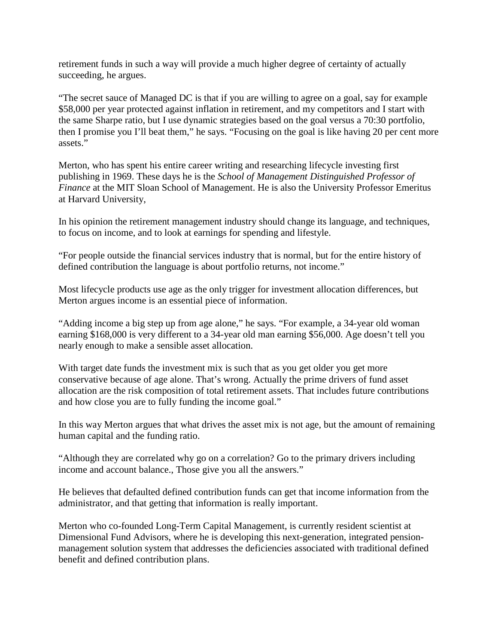retirement funds in such a way will provide a much higher degree of certainty of actually succeeding, he argues.

"The secret sauce of Managed DC is that if you are willing to agree on a goal, say for example \$58,000 per year protected against inflation in retirement, and my competitors and I start with the same Sharpe ratio, but I use dynamic strategies based on the goal versus a 70:30 portfolio, then I promise you I'll beat them," he says. "Focusing on the goal is like having 20 per cent more assets."

Merton, who has spent his entire career writing and researching lifecycle investing first publishing in 1969. These days he is the *School of Management Distinguished Professor of Finance* at the MIT Sloan School of Management. He is also the University Professor Emeritus at Harvard University,

In his opinion the retirement management industry should change its language, and techniques, to focus on income, and to look at earnings for spending and lifestyle.

"For people outside the financial services industry that is normal, but for the entire history of defined contribution the language is about portfolio returns, not income."

Most lifecycle products use age as the only trigger for investment allocation differences, but Merton argues income is an essential piece of information.

"Adding income a big step up from age alone," he says. "For example, a 34-year old woman earning \$168,000 is very different to a 34-year old man earning \$56,000. Age doesn't tell you nearly enough to make a sensible asset allocation.

With target date funds the investment mix is such that as you get older you get more conservative because of age alone. That's wrong. Actually the prime drivers of fund asset allocation are the risk composition of total retirement assets. That includes future contributions and how close you are to fully funding the income goal."

In this way Merton argues that what drives the asset mix is not age, but the amount of remaining human capital and the funding ratio.

"Although they are correlated why go on a correlation? Go to the primary drivers including income and account balance., Those give you all the answers."

He believes that defaulted defined contribution funds can get that income information from the administrator, and that getting that information is really important.

Merton who co-founded Long-Term Capital Management, is currently resident scientist at Dimensional Fund Advisors, where he is developing this next-generation, integrated pensionmanagement solution system that addresses the deficiencies associated with traditional defined benefit and defined contribution plans.